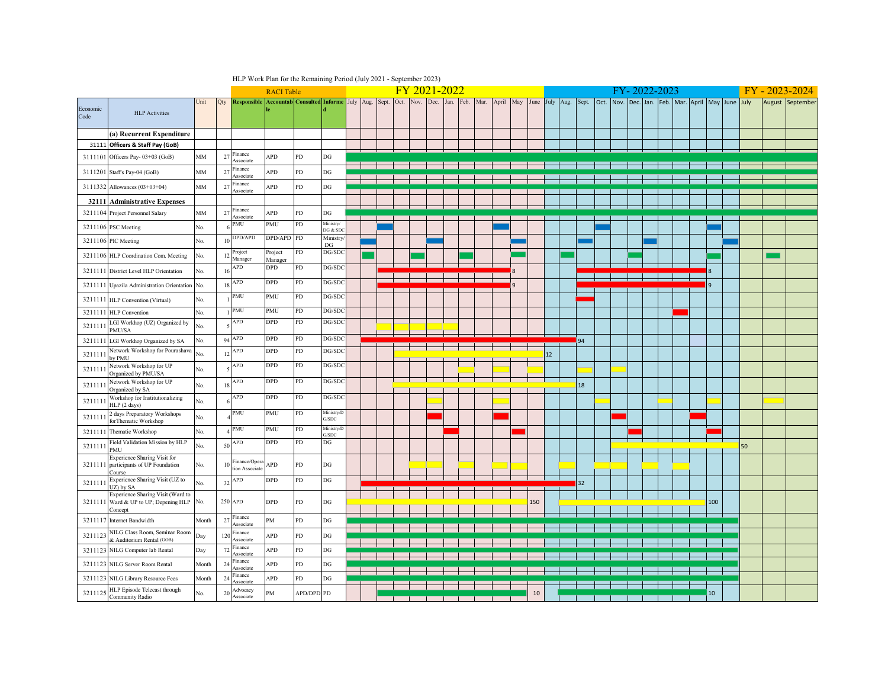|                  |                                                                                   |       |                | HLP Work Plan for the Remaining Period (July 2021 - September 2023) |                    |                                             |                                         |  |      |      |      |              |      |      |           |    |     |                 |                |       |      |                |  |           |                               |                 |    |                  |
|------------------|-----------------------------------------------------------------------------------|-------|----------------|---------------------------------------------------------------------|--------------------|---------------------------------------------|-----------------------------------------|--|------|------|------|--------------|------|------|-----------|----|-----|-----------------|----------------|-------|------|----------------|--|-----------|-------------------------------|-----------------|----|------------------|
|                  |                                                                                   |       |                |                                                                     | <b>RACI</b> Table  |                                             |                                         |  |      |      |      | FY 2021-2022 |      |      |           |    |     |                 |                |       |      |                |  | 2022-2023 |                               |                 |    | 2023-2024        |
| Economic<br>Code | <b>HLP</b> Activities                                                             | Unit  | Qty            | <b>Responsible</b>                                                  |                    | Accountab Consulted Informe July Aug. Sept. |                                         |  | Oct. | Nov. | Dec. | Jan.         | Feb. | Mar. | April May |    |     |                 | June July Aug. | Sept. | Oct. | Nov. Dec. Jan. |  |           | Feb. Mar. April May June July |                 |    | August September |
|                  | (a) Recurrent Expenditure                                                         |       |                |                                                                     |                    |                                             |                                         |  |      |      |      |              |      |      |           |    |     |                 |                |       |      |                |  |           |                               |                 |    |                  |
| 31111            | Officers & Staff Pay (GoB)                                                        |       |                |                                                                     |                    |                                             |                                         |  |      |      |      |              |      |      |           |    |     |                 |                |       |      |                |  |           |                               |                 |    |                  |
| 3111101          | Officers Pay- 03+03 (GoB)                                                         | MM    | 27             | Finance<br>Associate                                                | APD                | PD                                          | $\mathop{\rm DG}$                       |  |      |      |      |              |      |      |           |    |     |                 |                |       |      |                |  |           |                               |                 |    |                  |
| 3111201          | Staff's Pay-04 (GoB)                                                              | MM    | 27             | inance<br>Associate                                                 | APD                | PD                                          | $_{\rm DG}$                             |  |      |      |      |              |      |      |           |    |     |                 |                |       |      |                |  |           |                               |                 |    |                  |
|                  | 3111332 Allowances (03+03+04)                                                     | MM    | 27             | inance<br><b>Associate</b>                                          | APD                | PD                                          | $_{\rm DG}$                             |  |      |      |      |              |      |      |           |    |     |                 |                |       |      |                |  |           |                               |                 |    |                  |
| 32111            | <b>Administrative Expenses</b>                                                    |       |                |                                                                     |                    |                                             |                                         |  |      |      |      |              |      |      |           |    |     |                 |                |       |      |                |  |           |                               |                 |    |                  |
| 3211104          | Project Personnel Salary                                                          | MM    | 27             | Finance<br><b>Associate</b>                                         | APD                | PD                                          | DG                                      |  |      |      |      |              |      |      |           |    |     |                 |                |       |      |                |  |           |                               |                 |    |                  |
| 3211106          | <b>PSC</b> Meeting                                                                | No.   |                | MU                                                                  | PMU                | PD                                          | Ministry/<br>DG & SD                    |  |      |      |      |              |      |      |           |    |     |                 |                |       |      |                |  |           |                               |                 |    |                  |
| 3211106          | PIC Meeting                                                                       | No.   | $\overline{1}$ | DPD/APD                                                             | DPD/APD            | PD                                          | Ministry<br>DG                          |  |      |      |      |              |      |      |           |    |     |                 |                |       |      |                |  |           |                               |                 |    |                  |
| 3211106          | HLP Coordination Com. Meeting                                                     | No.   | 12             | Project<br>Manager                                                  | Project<br>Manager | PD                                          | DG/SD0                                  |  |      |      |      |              |      |      |           |    |     |                 |                |       |      |                |  |           |                               |                 |    |                  |
| 321111           | District Level HLP Orientation                                                    | No.   | 1 <sub>0</sub> | APD                                                                 | DPD                | PD                                          | DG/SD0                                  |  |      |      |      |              |      |      |           |    |     |                 |                |       |      |                |  |           |                               |                 |    |                  |
| 321111           | Upazila Administration Orientation No.                                            |       | $\overline{1}$ | APD                                                                 | DPD                | PD                                          | DG/SDO                                  |  |      |      |      |              |      |      |           | ۱q |     |                 |                |       |      |                |  |           |                               |                 |    |                  |
| 3211111          | HLP Convention (Virtual)                                                          | No.   |                | PMU                                                                 | PMU                | PD                                          | DG/SD0                                  |  |      |      |      |              |      |      |           |    |     |                 |                |       |      |                |  |           |                               |                 |    |                  |
| 3211111          | <b>HLP</b> Convention                                                             | No.   |                | PMU                                                                 | PMU                | PD                                          | DG/SDO                                  |  |      |      |      |              |      |      |           |    |     |                 |                |       |      |                |  |           |                               |                 |    |                  |
| 321111           | LGI Workhop (UZ) Organized by<br>MU/SA                                            | No.   |                | APD                                                                 | DPD                | PD                                          | DG/SD0                                  |  |      |      |      |              |      |      |           |    |     |                 |                |       |      |                |  |           |                               |                 |    |                  |
| 3211111          | LGI Workhop Organized by SA                                                       | No.   |                | 94 APD                                                              | <b>DPD</b>         | ${\rm PD}$                                  | DG/SD0                                  |  |      |      |      |              |      |      |           |    |     |                 |                | 94    |      |                |  |           |                               |                 |    |                  |
| 321111           | Network Workshop for Pourashava<br>by PMU                                         | No.   | $\overline{1}$ | APD                                                                 | DPD                | PD                                          | DG/SD0                                  |  |      |      |      |              |      |      |           |    |     | 12 <sup>2</sup> |                |       |      |                |  |           |                               |                 |    |                  |
| 321111           | Network Workshop for UP<br>Organized by PMU/SA                                    | No.   |                | APD                                                                 | DPD                | PD                                          | DG/SDC                                  |  |      |      |      |              |      |      |           |    |     |                 |                |       |      |                |  |           |                               |                 |    |                  |
| 321111           | Network Workshop for UP<br>Organized by SA                                        | No.   | 18             | APD                                                                 | DPD                | PD                                          | DG/SDO                                  |  |      |      |      |              |      |      |           |    |     |                 |                | 18    |      |                |  |           |                               |                 |    |                  |
| 321111           | Workshop for Institutionalizing<br>HLP (2 days)                                   | No.   |                | APD                                                                 | DPD                | PD                                          | DG/SD0                                  |  |      |      |      |              |      |      |           |    |     |                 |                |       |      |                |  |           |                               |                 |    |                  |
| 321111           | 2 days Preparatory Workshops<br>forThematic Workshop                              | No.   |                | PMU                                                                 | PMU                | ${\rm PD}$                                  | Ministry/L<br>$\mathrm{G}/\mathrm{SDC}$ |  |      |      |      |              |      |      |           |    |     |                 |                |       |      |                |  |           |                               |                 |    |                  |
| 3211111          | Thematic Workshop                                                                 | No.   |                | PMU                                                                 | PMU                | ${\rm PD}$                                  | Ministry/D<br>G/SDC                     |  |      |      |      |              |      |      |           |    |     |                 |                |       |      |                |  |           |                               |                 |    |                  |
| 321111           | Field Validation Mission by HLP<br><b>MU</b>                                      | No.   | 50             | APD                                                                 | DPD                | PD                                          | DG                                      |  |      |      |      |              |      |      |           |    |     |                 |                |       |      |                |  |           |                               |                 | 50 |                  |
| 3211111          | <b>Experience Sharing Visit for</b><br>participants of UP Foundation<br>Course    | No.   | 1 <sup>1</sup> | inance/Opera<br>tion Associate                                      | APD                | PD                                          | DG                                      |  |      |      |      |              |      |      |           |    |     |                 |                |       |      |                |  |           |                               |                 |    |                  |
| 3211111          | Experience Sharing Visit (UZ to<br>JZ) by SA                                      | No.   | 32             | APD                                                                 | DPD                | PD                                          | DG                                      |  |      |      |      |              |      |      |           |    |     |                 |                | 32    |      |                |  |           |                               |                 |    |                  |
| 3211111          | Experience Sharing Visit (Ward to<br>Ward & UP to UP; Depening HLP No.<br>Concept |       |                | 250 APD                                                             | DPD                | PD                                          | DG                                      |  |      |      |      |              |      |      |           |    | 150 |                 |                |       |      |                |  |           |                               | 100             |    |                  |
| 3211117          | <b>Internet Bandwidth</b>                                                         | Month | 27             | Finance<br>Associate                                                | PM                 | ${\rm PD}$                                  | $_{\rm DG}$                             |  |      |      |      |              |      |      |           |    |     |                 |                |       |      |                |  |           |                               |                 |    |                  |
| 321112           | NILG Class Room, Seminar Room<br>& Auditorium Rental (GOB)                        | Day   | 12(            | Finance<br>Associate                                                | APD                | PD                                          | $_{\rm DG}$                             |  |      |      |      |              |      |      |           |    |     |                 |                |       |      |                |  |           |                               |                 |    |                  |
| 3211123          | NILG Computer lab Rental                                                          | Day   | 72             | Finance<br>sociat                                                   | APD                | PD                                          | $_{\rm DG}$                             |  |      |      |      |              |      |      |           |    |     |                 |                |       |      |                |  |           |                               |                 |    |                  |
|                  | 3211123 NILG Server Room Rental                                                   | Month | 24             | Finance<br><b>Associate</b>                                         | APD                | ${\rm PD}$                                  | $_{\rm DG}$                             |  |      |      |      |              |      |      |           |    |     |                 |                |       |      |                |  |           |                               |                 |    |                  |
|                  | 3211123 NILG Library Resource Fees                                                | Month | 24             | inance<br>ssociate                                                  | APD                | PD                                          | $_{\rm DG}$                             |  |      |      |      |              |      |      |           |    |     |                 |                |       |      |                |  |           |                               |                 |    |                  |
| 3211125          | HLP Episode Telecast through<br>Community Radio                                   | No.   | 20             | Advocacy<br>Associate                                               | PM                 | APD/DPD PD                                  |                                         |  |      |      |      |              |      |      |           |    | 10  |                 |                |       |      |                |  |           |                               | 10 <sup>1</sup> |    |                  |